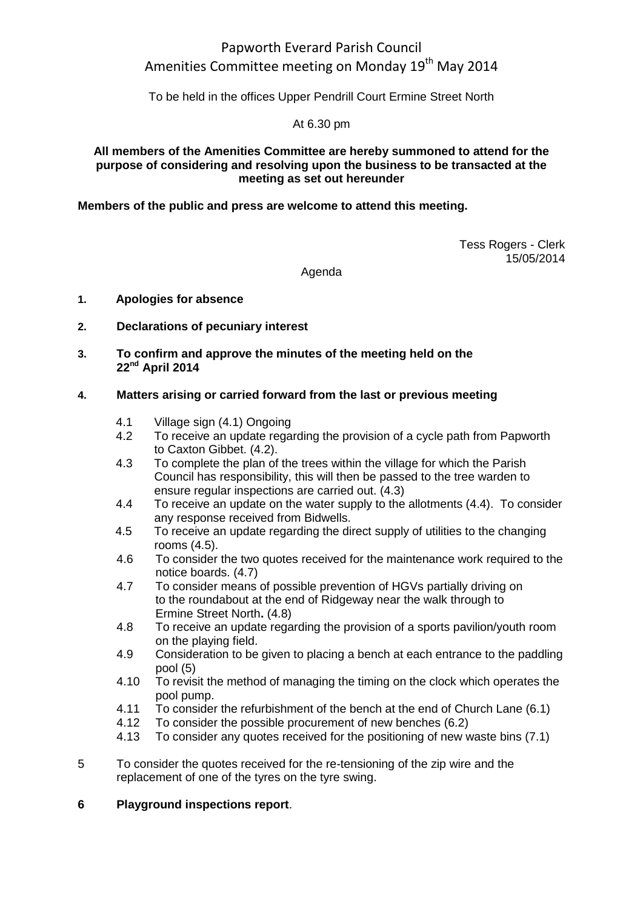# Papworth Everard Parish Council Amenities Committee meeting on Monday 19<sup>th</sup> May 2014

To be held in the offices Upper Pendrill Court Ermine Street North

#### At 6.30 pm

#### **All members of the Amenities Committee are hereby summoned to attend for the purpose of considering and resolving upon the business to be transacted at the meeting as set out hereunder**

#### **Members of the public and press are welcome to attend this meeting.**

Tess Rogers - Clerk 15/05/2014

Agenda

#### **1. Apologies for absence**

#### **2. Declarations of pecuniary interest**

**3. To confirm and approve the minutes of the meeting held on the 22nd April 2014**

#### **4. Matters arising or carried forward from the last or previous meeting**

- 4.1 Village sign (4.1) Ongoing
- 4.2 To receive an update regarding the provision of a cycle path from Papworth to Caxton Gibbet. (4.2).
- 4.3 To complete the plan of the trees within the village for which the Parish Council has responsibility, this will then be passed to the tree warden to ensure regular inspections are carried out. (4.3)
- 4.4 To receive an update on the water supply to the allotments (4.4). To consider any response received from Bidwells.
- 4.5 To receive an update regarding the direct supply of utilities to the changing rooms (4.5).
- 4.6 To consider the two quotes received for the maintenance work required to the notice boards. (4.7)
- 4.7 To consider means of possible prevention of HGVs partially driving on to the roundabout at the end of Ridgeway near the walk through to Ermine Street North**.** (4.8)
- 4.8 To receive an update regarding the provision of a sports pavilion/youth room on the playing field.
- 4.9 Consideration to be given to placing a bench at each entrance to the paddling pool (5)
- 4.10 To revisit the method of managing the timing on the clock which operates the pool pump.
- 4.11 To consider the refurbishment of the bench at the end of Church Lane (6.1)
- 4.12 To consider the possible procurement of new benches (6.2)
- 4.13 To consider any quotes received for the positioning of new waste bins (7.1)
- 5 To consider the quotes received for the re-tensioning of the zip wire and the replacement of one of the tyres on the tyre swing.

#### **6 Playground inspections report**.